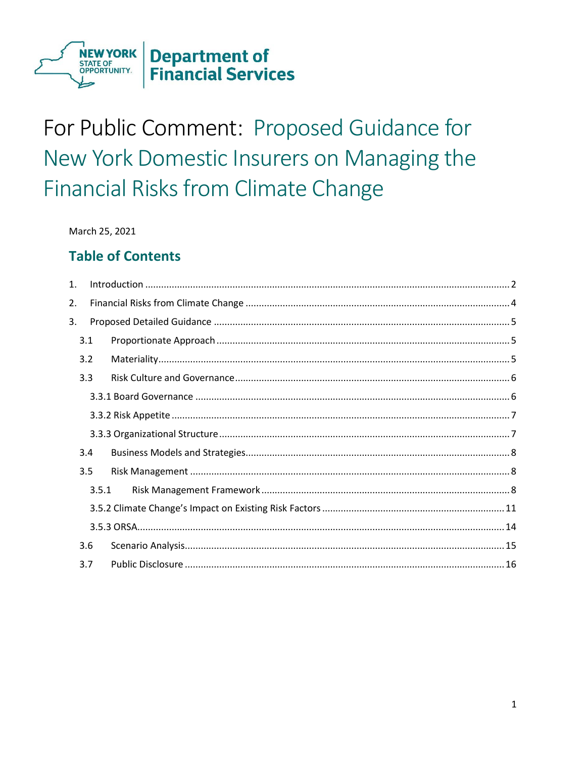

# For Public Comment: Proposed Guidance for New York Domestic Insurers on Managing the **Financial Risks from Climate Change**

March 25, 2021

# **Table of Contents**

| 1.    |  |
|-------|--|
| 2.    |  |
| 3.    |  |
| 3.1   |  |
| 3.2   |  |
| 3.3   |  |
|       |  |
|       |  |
|       |  |
| 3.4   |  |
| 3.5   |  |
| 3.5.1 |  |
|       |  |
|       |  |
| 3.6   |  |
| 3.7   |  |
|       |  |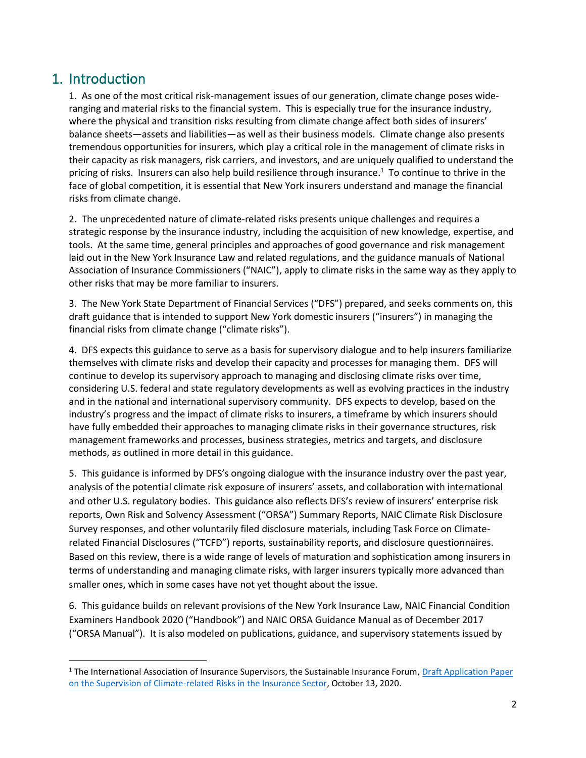# <span id="page-1-0"></span>1. Introduction

1. As one of the most critical risk-management issues of our generation, climate change poses wideranging and material risks to the financial system. This is especially true for the insurance industry, where the physical and transition risks resulting from climate change affect both sides of insurers' balance sheets—assets and liabilities—as well as their business models. Climate change also presents tremendous opportunities for insurers, which play a critical role in the management of climate risks in their capacity as risk managers, risk carriers, and investors, and are uniquely qualified to understand the pricing of risks. Insurers can also help build resilience through insurance.<sup>1</sup> To continue to thrive in the face of global competition, it is essential that New York insurers understand and manage the financial risks from climate change.

2. The unprecedented nature of climate-related risks presents unique challenges and requires a strategic response by the insurance industry, including the acquisition of new knowledge, expertise, and tools. At the same time, general principles and approaches of good governance and risk management laid out in the New York Insurance Law and related regulations, and the guidance manuals of National Association of Insurance Commissioners ("NAIC"), apply to climate risks in the same way as they apply to other risks that may be more familiar to insurers.

3. The New York State Department of Financial Services ("DFS") prepared, and seeks comments on, this draft guidance that is intended to support New York domestic insurers ("insurers") in managing the financial risks from climate change ("climate risks").

4. DFS expects this guidance to serve as a basis for supervisory dialogue and to help insurers familiarize themselves with climate risks and develop their capacity and processes for managing them. DFS will continue to develop its supervisory approach to managing and disclosing climate risks over time, considering U.S. federal and state regulatory developments as well as evolving practices in the industry and in the national and international supervisory community. DFS expects to develop, based on the industry's progress and the impact of climate risks to insurers, a timeframe by which insurers should have fully embedded their approaches to managing climate risks in their governance structures, risk management frameworks and processes, business strategies, metrics and targets, and disclosure methods, as outlined in more detail in this guidance.

5. This guidance is informed by DFS's ongoing dialogue with the insurance industry over the past year, analysis of the potential climate risk exposure of insurers' assets, and collaboration with international and other U.S. regulatory bodies. This guidance also reflects DFS's review of insurers' enterprise risk reports, Own Risk and Solvency Assessment ("ORSA") Summary Reports, NAIC Climate Risk Disclosure Survey responses, and other voluntarily filed disclosure materials, including Task Force on Climaterelated Financial Disclosures ("TCFD") reports, sustainability reports, and disclosure questionnaires. Based on this review, there is a wide range of levels of maturation and sophistication among insurers in terms of understanding and managing climate risks, with larger insurers typically more advanced than smaller ones, which in some cases have not yet thought about the issue.

6. This guidance builds on relevant provisions of the New York Insurance Law, NAIC Financial Condition Examiners Handbook 2020 ("Handbook") and NAIC ORSA Guidance Manual as of December 2017 ("ORSA Manual"). It is also modeled on publications, guidance, and supervisory statements issued by

<sup>&</sup>lt;sup>1</sup> The International Association of Insurance Supervisors, the Sustainable Insurance Forum, Draft Application Paper [on the Supervision of Climate-related Risks in the Insurance Sector,](https://www.iaisweb.org/page/consultations/current-consultations/application-paper-on-the-supervision-of-climate-related-risks-in-the-insurance-sector/file/92570/application-paper-on-the-supervision-of-climate-related-risks-in-the-insurance-sector) October 13, 2020.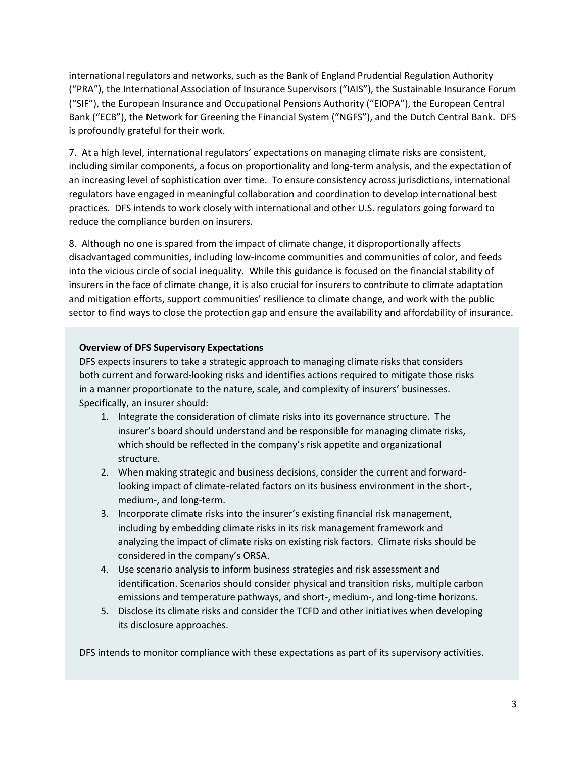international regulators and networks, such as the Bank of England Prudential Regulation Authority ("PRA"), the International Association of Insurance Supervisors ("IAIS"), the Sustainable Insurance Forum ("SIF"), the European Insurance and Occupational Pensions Authority ("EIOPA"), the European Central Bank ("ECB"), the Network for Greening the Financial System ("NGFS"), and the Dutch Central Bank. DFS is profoundly grateful for their work.

7. At a high level, international regulators' expectations on managing climate risks are consistent, including similar components, a focus on proportionality and long-term analysis, and the expectation of an increasing level of sophistication over time. To ensure consistency across jurisdictions, international regulators have engaged in meaningful collaboration and coordination to develop international best practices. DFS intends to work closely with international and other U.S. regulators going forward to reduce the compliance burden on insurers.

8. Although no one is spared from the impact of climate change, it disproportionally affects disadvantaged communities, including low-income communities and communities of color, and feeds into the vicious circle of social inequality. While this guidance is focused on the financial stability of insurers in the face of climate change, it is also crucial for insurers to contribute to climate adaptation and mitigation efforts, support communities' resilience to climate change, and work with the public sector to find ways to close the protection gap and ensure the availability and affordability of insurance.

#### **Overview of DFS Supervisory Expectations**

DFS expects insurers to take a strategic approach to managing climate risks that considers both current and forward-looking risks and identifies actions required to mitigate those risks in a manner proportionate to the nature, scale, and complexity of insurers' businesses. Specifically, an insurer should:

- 1. Integrate the consideration of climate risks into its governance structure. The insurer's board should understand and be responsible for managing climate risks, which should be reflected in the company's risk appetite and organizational structure.
- 2. When making strategic and business decisions, consider the current and forwardlooking impact of climate-related factors on its business environment in the short-, medium-, and long-term.
- 3. Incorporate climate risks into the insurer's existing financial risk management, including by embedding climate risks in its risk management framework and analyzing the impact of climate risks on existing risk factors. Climate risks should be considered in the company's ORSA.
- 4. Use scenario analysis to inform business strategies and risk assessment and identification. Scenarios should consider physical and transition risks, multiple carbon emissions and temperature pathways, and short-, medium-, and long-time horizons.
- 5. Disclose its climate risks and consider the TCFD and other initiatives when developing its disclosure approaches.

DFS intends to monitor compliance with these expectations as part of its supervisory activities.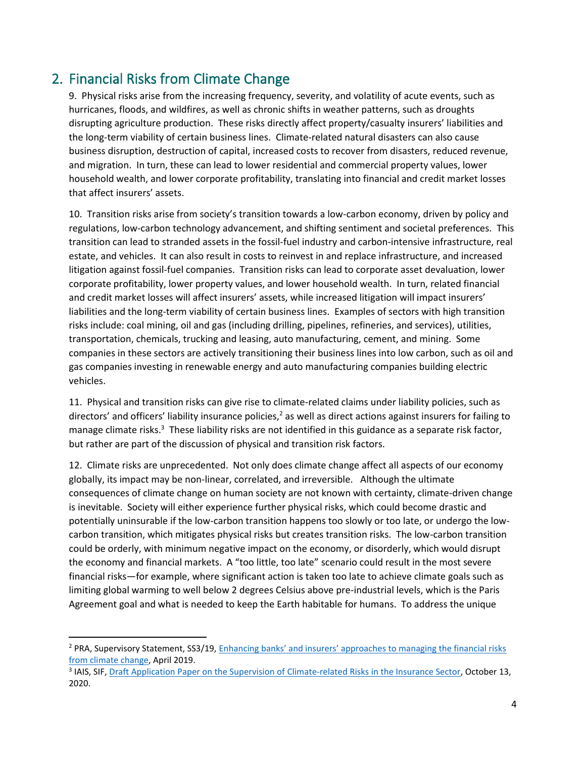# <span id="page-3-0"></span>2. Financial Risks from Climate Change

9. Physical risks arise from the increasing frequency, severity, and volatility of acute events, such as hurricanes, floods, and wildfires, as well as chronic shifts in weather patterns, such as droughts disrupting agriculture production. These risks directly affect property/casualty insurers' liabilities and the long-term viability of certain business lines. Climate-related natural disasters can also cause business disruption, destruction of capital, increased costs to recover from disasters, reduced revenue, and migration. In turn, these can lead to lower residential and commercial property values, lower household wealth, and lower corporate profitability, translating into financial and credit market losses that affect insurers' assets.

10. Transition risks arise from society's transition towards a low-carbon economy, driven by policy and regulations, low-carbon technology advancement, and shifting sentiment and societal preferences. This transition can lead to stranded assets in the fossil-fuel industry and carbon-intensive infrastructure, real estate, and vehicles. It can also result in costs to reinvest in and replace infrastructure, and increased litigation against fossil-fuel companies. Transition risks can lead to corporate asset devaluation, lower corporate profitability, lower property values, and lower household wealth. In turn, related financial and credit market losses will affect insurers' assets, while increased litigation will impact insurers' liabilities and the long-term viability of certain business lines. Examples of sectors with high transition risks include: coal mining, oil and gas (including drilling, pipelines, refineries, and services), utilities, transportation, chemicals, trucking and leasing, auto manufacturing, cement, and mining. Some companies in these sectors are actively transitioning their business lines into low carbon, such as oil and gas companies investing in renewable energy and auto manufacturing companies building electric vehicles.

11. Physical and transition risks can give rise to climate-related claims under liability policies, such as directors' and officers' liability insurance policies, $2$  as well as direct actions against insurers for failing to manage climate risks.<sup>3</sup> These liability risks are not identified in this guidance as a separate risk factor, but rather are part of the discussion of physical and transition risk factors.

12. Climate risks are unprecedented. Not only does climate change affect all aspects of our economy globally, its impact may be non-linear, correlated, and irreversible. Although the ultimate consequences of climate change on human society are not known with certainty, climate-driven change is inevitable. Society will either experience further physical risks, which could become drastic and potentially uninsurable if the low-carbon transition happens too slowly or too late, or undergo the lowcarbon transition, which mitigates physical risks but creates transition risks. The low-carbon transition could be orderly, with minimum negative impact on the economy, or disorderly, which would disrupt the economy and financial markets. A "too little, too late" scenario could result in the most severe financial risks—for example, where significant action is taken too late to achieve climate goals such as limiting global warming to well below 2 degrees Celsius above pre-industrial levels, which is the Paris Agreement goal and what is needed to keep the Earth habitable for humans. To address the unique

<sup>&</sup>lt;sup>2</sup> PRA, Supervisory Statement, SS3/19, Enhancing banks' and insurers' approaches to managing the financial risks [from climate change,](https://www.bankofengland.co.uk/prudential-regulation/publication/2019/enhancing-banks-and-insurers-approaches-to-managing-the-financial-risks-from-climate-change-ss) April 2019.

<sup>&</sup>lt;sup>3</sup> IAIS, SIF, [Draft Application Paper on the Supervision of Climate-related Risks in the Insurance Sector,](https://www.iaisweb.org/page/consultations/current-consultations/application-paper-on-the-supervision-of-climate-related-risks-in-the-insurance-sector/file/92570/application-paper-on-the-supervision-of-climate-related-risks-in-the-insurance-sector) October 13, 2020.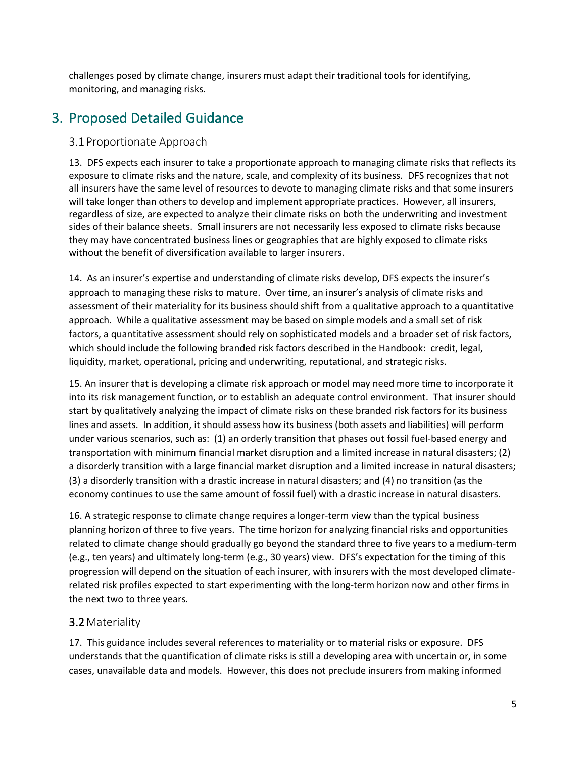challenges posed by climate change, insurers must adapt their traditional tools for identifying, monitoring, and managing risks.

# <span id="page-4-0"></span>3. Proposed Detailed Guidance

#### <span id="page-4-1"></span>3.1 Proportionate Approach

13. DFS expects each insurer to take a proportionate approach to managing climate risks that reflects its exposure to climate risks and the nature, scale, and complexity of its business. DFS recognizes that not all insurers have the same level of resources to devote to managing climate risks and that some insurers will take longer than others to develop and implement appropriate practices. However, all insurers, regardless of size, are expected to analyze their climate risks on both the underwriting and investment sides of their balance sheets. Small insurers are not necessarily less exposed to climate risks because they may have concentrated business lines or geographies that are highly exposed to climate risks without the benefit of diversification available to larger insurers.

14. As an insurer's expertise and understanding of climate risks develop, DFS expects the insurer's approach to managing these risks to mature. Over time, an insurer's analysis of climate risks and assessment of their materiality for its business should shift from a qualitative approach to a quantitative approach. While a qualitative assessment may be based on simple models and a small set of risk factors, a quantitative assessment should rely on sophisticated models and a broader set of risk factors, which should include the following branded risk factors described in the Handbook: credit, legal, liquidity, market, operational, pricing and underwriting, reputational, and strategic risks.

15. An insurer that is developing a climate risk approach or model may need more time to incorporate it into its risk management function, or to establish an adequate control environment. That insurer should start by qualitatively analyzing the impact of climate risks on these branded risk factors for its business lines and assets. In addition, it should assess how its business (both assets and liabilities) will perform under various scenarios, such as: (1) an orderly transition that phases out fossil fuel-based energy and transportation with minimum financial market disruption and a limited increase in natural disasters; (2) a disorderly transition with a large financial market disruption and a limited increase in natural disasters; (3) a disorderly transition with a drastic increase in natural disasters; and (4) no transition (as the economy continues to use the same amount of fossil fuel) with a drastic increase in natural disasters.

16. A strategic response to climate change requires a longer-term view than the typical business planning horizon of three to five years. The time horizon for analyzing financial risks and opportunities related to climate change should gradually go beyond the standard three to five years to a medium-term (e.g., ten years) and ultimately long-term (e.g., 30 years) view. DFS's expectation for the timing of this progression will depend on the situation of each insurer, with insurers with the most developed climaterelated risk profiles expected to start experimenting with the long-term horizon now and other firms in the next two to three years.

# <span id="page-4-2"></span>3.2Materiality

17. This guidance includes several references to materiality or to material risks or exposure. DFS understands that the quantification of climate risks is still a developing area with uncertain or, in some cases, unavailable data and models. However, this does not preclude insurers from making informed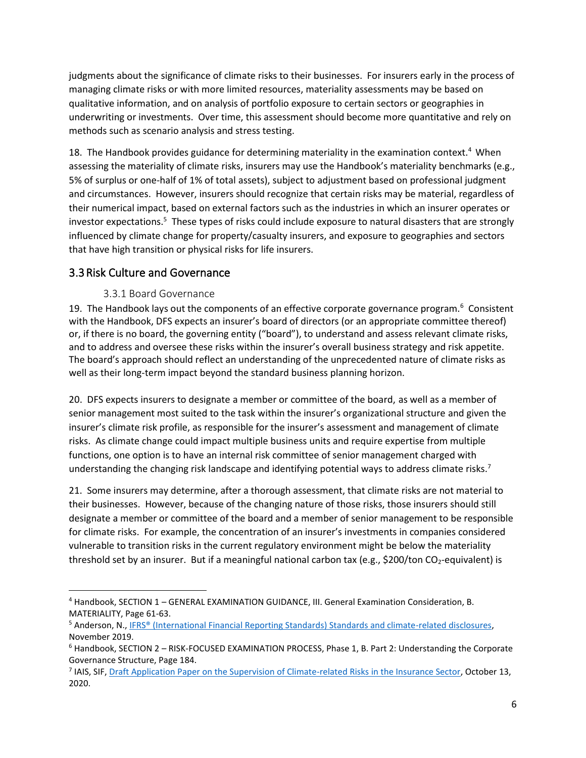judgments about the significance of climate risks to their businesses. For insurers early in the process of managing climate risks or with more limited resources, materiality assessments may be based on qualitative information, and on analysis of portfolio exposure to certain sectors or geographies in underwriting or investments. Over time, this assessment should become more quantitative and rely on methods such as scenario analysis and stress testing.

18. The Handbook provides guidance for determining materiality in the examination context.<sup>4</sup> When assessing the materiality of climate risks, insurers may use the Handbook's materiality benchmarks (e.g., 5% of surplus or one-half of 1% of total assets), subject to adjustment based on professional judgment and circumstances. However, insurers should recognize that certain risks may be material, regardless of their numerical impact, based on external factors such as the industries in which an insurer operates or investor expectations.<sup>5</sup> These types of risks could include exposure to natural disasters that are strongly influenced by climate change for property/casualty insurers, and exposure to geographies and sectors that have high transition or physical risks for life insurers.

## <span id="page-5-0"></span>3.3Risk Culture and Governance

#### 3.3.1 Board Governance

<span id="page-5-1"></span>19. The Handbook lays out the components of an effective corporate governance program.<sup>6</sup> Consistent with the Handbook, DFS expects an insurer's board of directors (or an appropriate committee thereof) or, if there is no board, the governing entity ("board"), to understand and assess relevant climate risks, and to address and oversee these risks within the insurer's overall business strategy and risk appetite. The board's approach should reflect an understanding of the unprecedented nature of climate risks as well as their long-term impact beyond the standard business planning horizon.

20. DFS expects insurers to designate a member or committee of the board, as well as a member of senior management most suited to the task within the insurer's organizational structure and given the insurer's climate risk profile, as responsible for the insurer's assessment and management of climate risks. As climate change could impact multiple business units and require expertise from multiple functions, one option is to have an internal risk committee of senior management charged with understanding the changing risk landscape and identifying potential ways to address climate risks.<sup>7</sup>

21. Some insurers may determine, after a thorough assessment, that climate risks are not material to their businesses. However, because of the changing nature of those risks, those insurers should still designate a member or committee of the board and a member of senior management to be responsible for climate risks. For example, the concentration of an insurer's investments in companies considered vulnerable to transition risks in the current regulatory environment might be below the materiality threshold set by an insurer. But if a meaningful national carbon tax (e.g., \$200/ton  $CO_2$ -equivalent) is

<sup>4</sup> Handbook, SECTION 1 – GENERAL EXAMINATION GUIDANCE, III. General Examination Consideration, B. MATERIALITY, Page 61-63.

<sup>5</sup> Anderson, N., [IFRS® \(International Financial Reporting Standards\) Standards and climate-related disclosures,](https://cdn.ifrs.org/-/media/feature/news/2019/november/in-brief-climate-change-nick-anderson.pdf?la=en) November 2019.

<sup>6</sup> Handbook, SECTION 2 – RISK-FOCUSED EXAMINATION PROCESS, Phase 1, B. Part 2: Understanding the Corporate Governance Structure, Page 184.

<sup>&</sup>lt;sup>7</sup> IAIS, SIF, [Draft Application Paper on the Supervision of Climate-related Risks in the Insurance Sector,](https://www.iaisweb.org/page/consultations/current-consultations/application-paper-on-the-supervision-of-climate-related-risks-in-the-insurance-sector/file/92570/application-paper-on-the-supervision-of-climate-related-risks-in-the-insurance-sector) October 13, 2020.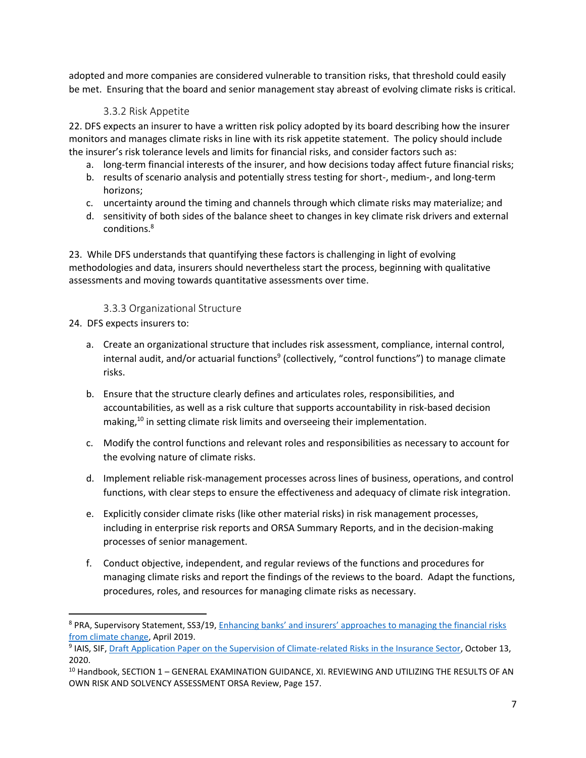adopted and more companies are considered vulnerable to transition risks, that threshold could easily be met. Ensuring that the board and senior management stay abreast of evolving climate risks is critical.

#### 3.3.2 Risk Appetite

<span id="page-6-0"></span>22. DFS expects an insurer to have a written risk policy adopted by its board describing how the insurer monitors and manages climate risks in line with its risk appetite statement. The policy should include the insurer's risk tolerance levels and limits for financial risks, and consider factors such as:

- a. long-term financial interests of the insurer, and how decisions today affect future financial risks;
- b. results of scenario analysis and potentially stress testing for short-, medium-, and long-term horizons;
- c. uncertainty around the timing and channels through which climate risks may materialize; and
- d. sensitivity of both sides of the balance sheet to changes in key climate risk drivers and external conditions.<sup>8</sup>

23. While DFS understands that quantifying these factors is challenging in light of evolving methodologies and data, insurers should nevertheless start the process, beginning with qualitative assessments and moving towards quantitative assessments over time.

#### 3.3.3 Organizational Structure

<span id="page-6-1"></span>24. DFS expects insurers to:

- a. Create an organizational structure that includes risk assessment, compliance, internal control, internal audit, and/or actuarial functions<sup>9</sup> (collectively, "control functions") to manage climate risks.
- b. Ensure that the structure clearly defines and articulates roles, responsibilities, and accountabilities, as well as a risk culture that supports accountability in risk-based decision making,<sup>10</sup> in setting climate risk limits and overseeing their implementation.
- c. Modify the control functions and relevant roles and responsibilities as necessary to account for the evolving nature of climate risks.
- d. Implement reliable risk-management processes across lines of business, operations, and control functions, with clear steps to ensure the effectiveness and adequacy of climate risk integration.
- e. Explicitly consider climate risks (like other material risks) in risk management processes, including in enterprise risk reports and ORSA Summary Reports, and in the decision-making processes of senior management.
- f. Conduct objective, independent, and regular reviews of the functions and procedures for managing climate risks and report the findings of the reviews to the board. Adapt the functions, procedures, roles, and resources for managing climate risks as necessary.

<sup>8</sup> PRA, Supervisory Statement, SS3/19, [Enhancing banks' and insurers' approaches to mana](https://www.bankofengland.co.uk/prudential-regulation/publication/2019/enhancing-banks-and-insurers-approaches-to-managing-the-financial-risks-from-climate-change-ss)ging the financial risks [from climate change,](https://www.bankofengland.co.uk/prudential-regulation/publication/2019/enhancing-banks-and-insurers-approaches-to-managing-the-financial-risks-from-climate-change-ss) April 2019.

<sup>&</sup>lt;sup>9</sup> IAIS, SIF, <u>Draft Application Paper on the Supervision of Climate-related Risks in the Insurance Sector, October 13,</u> 2020.

<sup>&</sup>lt;sup>10</sup> Handbook, SECTION 1 – GENERAL EXAMINATION GUIDANCE, XI. REVIEWING AND UTILIZING THE RESULTS OF AN OWN RISK AND SOLVENCY ASSESSMENT ORSA Review, Page 157.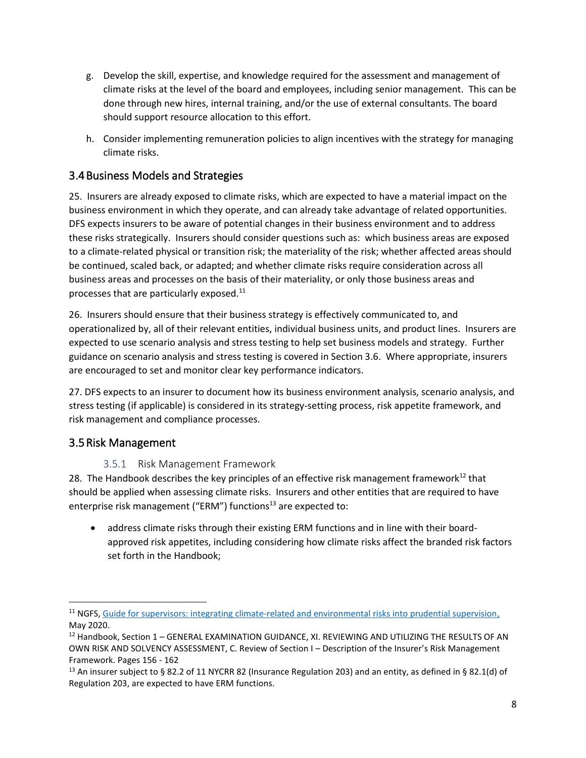- g. Develop the skill, expertise, and knowledge required for the assessment and management of climate risks at the level of the board and employees, including senior management. This can be done through new hires, internal training, and/or the use of external consultants. The board should support resource allocation to this effort.
- h. Consider implementing remuneration policies to align incentives with the strategy for managing climate risks.

# <span id="page-7-0"></span>3.4Business Models and Strategies

25. Insurers are already exposed to climate risks, which are expected to have a material impact on the business environment in which they operate, and can already take advantage of related opportunities. DFS expects insurers to be aware of potential changes in their business environment and to address these risks strategically. Insurers should consider questions such as: which business areas are exposed to a climate-related physical or transition risk; the materiality of the risk; whether affected areas should be continued, scaled back, or adapted; and whether climate risks require consideration across all business areas and processes on the basis of their materiality, or only those business areas and processes that are particularly exposed. $^{11}$ 

26. Insurers should ensure that their business strategy is effectively communicated to, and operationalized by, all of their relevant entities, individual business units, and product lines. Insurers are expected to use scenario analysis and stress testing to help set business models and strategy. Further guidance on scenario analysis and stress testing is covered in Section 3.6. Where appropriate, insurers are encouraged to set and monitor clear key performance indicators.

27. DFS expects to an insurer to document how its business environment analysis, scenario analysis, and stress testing (if applicable) is considered in its strategy-setting process, risk appetite framework, and risk management and compliance processes.

# <span id="page-7-1"></span>3.5Risk Management

#### 3.5.1 Risk Management Framework

<span id="page-7-2"></span>28. The Handbook describes the key principles of an effective risk management framework<sup>12</sup> that should be applied when assessing climate risks. Insurers and other entities that are required to have enterprise risk management ("ERM") functions $^{13}$  are expected to:

• address climate risks through their existing ERM functions and in line with their boardapproved risk appetites, including considering how climate risks affect the branded risk factors set forth in the Handbook;

<sup>&</sup>lt;sup>11</sup> NGFS, [Guide for supervisors: integrating climate-related and environmental risks into prudential supervision,](https://www.ngfs.net/sites/default/files/medias/documents/ngfs_guide_for_supervisors.pdf) May 2020.

<sup>&</sup>lt;sup>12</sup> Handbook, Section 1 – GENERAL EXAMINATION GUIDANCE, XI. REVIEWING AND UTILIZING THE RESULTS OF AN OWN RISK AND SOLVENCY ASSESSMENT, C. Review of Section I – Description of the Insurer's Risk Management Framework. Pages 156 - 162

<sup>&</sup>lt;sup>13</sup> An insurer subject to § 82.2 of 11 NYCRR 82 (Insurance Regulation 203) and an entity, as defined in § 82.1(d) of Regulation 203, are expected to have ERM functions.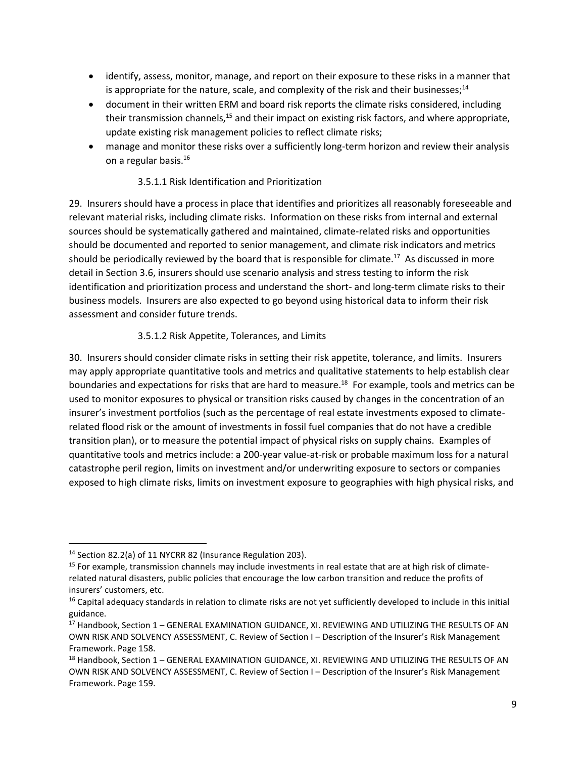- identify, assess, monitor, manage, and report on their exposure to these risks in a manner that is appropriate for the nature, scale, and complexity of the risk and their businesses;<sup>14</sup>
- document in their written ERM and board risk reports the climate risks considered, including their transmission channels, $^{15}$  and their impact on existing risk factors, and where appropriate, update existing risk management policies to reflect climate risks;
- manage and monitor these risks over a sufficiently long-term horizon and review their analysis on a regular basis.<sup>16</sup>

#### 3.5.1.1 Risk Identification and Prioritization

29. Insurers should have a process in place that identifies and prioritizes all reasonably foreseeable and relevant material risks, including climate risks. Information on these risks from internal and external sources should be systematically gathered and maintained, climate-related risks and opportunities should be documented and reported to senior management, and climate risk indicators and metrics should be periodically reviewed by the board that is responsible for climate.<sup>17</sup> As discussed in more detail in Section 3.6, insurers should use scenario analysis and stress testing to inform the risk identification and prioritization process and understand the short- and long-term climate risks to their business models. Insurers are also expected to go beyond using historical data to inform their risk assessment and consider future trends.

#### 3.5.1.2 Risk Appetite, Tolerances, and Limits

30. Insurers should consider climate risks in setting their risk appetite, tolerance, and limits. Insurers may apply appropriate quantitative tools and metrics and qualitative statements to help establish clear boundaries and expectations for risks that are hard to measure.<sup>18</sup> For example, tools and metrics can be used to monitor exposures to physical or transition risks caused by changes in the concentration of an insurer's investment portfolios (such as the percentage of real estate investments exposed to climaterelated flood risk or the amount of investments in fossil fuel companies that do not have a credible transition plan), or to measure the potential impact of physical risks on supply chains. Examples of quantitative tools and metrics include: a 200-year value-at-risk or probable maximum loss for a natural catastrophe peril region, limits on investment and/or underwriting exposure to sectors or companies exposed to high climate risks, limits on investment exposure to geographies with high physical risks, and

<sup>14</sup> Section 82.2(a) of 11 NYCRR 82 (Insurance Regulation 203).

<sup>&</sup>lt;sup>15</sup> For example, transmission channels may include investments in real estate that are at high risk of climaterelated natural disasters, public policies that encourage the low carbon transition and reduce the profits of insurers' customers, etc.

<sup>&</sup>lt;sup>16</sup> Capital adequacy standards in relation to climate risks are not yet sufficiently developed to include in this initial guidance.

<sup>&</sup>lt;sup>17</sup> Handbook, Section 1 - GENERAL EXAMINATION GUIDANCE, XI. REVIEWING AND UTILIZING THE RESULTS OF AN OWN RISK AND SOLVENCY ASSESSMENT, C. Review of Section I – Description of the Insurer's Risk Management Framework. Page 158.

<sup>&</sup>lt;sup>18</sup> Handbook, Section 1 – GENERAL EXAMINATION GUIDANCE, XI. REVIEWING AND UTILIZING THE RESULTS OF AN OWN RISK AND SOLVENCY ASSESSMENT, C. Review of Section I – Description of the Insurer's Risk Management Framework. Page 159.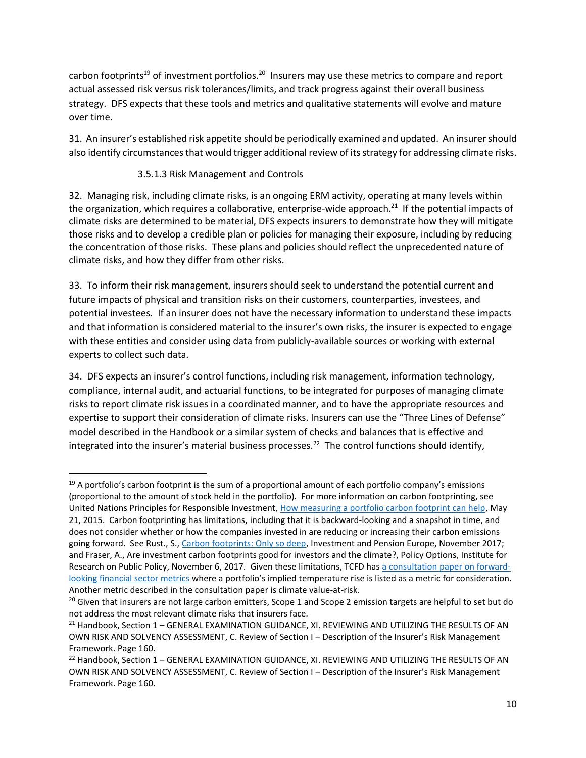carbon footprints<sup>19</sup> of investment portfolios.<sup>20</sup> Insurers may use these metrics to compare and report actual assessed risk versus risk tolerances/limits, and track progress against their overall business strategy. DFS expects that these tools and metrics and qualitative statements will evolve and mature over time.

31. An insurer's established risk appetite should be periodically examined and updated. An insurer should also identify circumstances that would trigger additional review of its strategy for addressing climate risks.

#### 3.5.1.3 Risk Management and Controls

32. Managing risk, including climate risks, is an ongoing ERM activity, operating at many levels within the organization, which requires a collaborative, enterprise-wide approach.<sup>21</sup> If the potential impacts of climate risks are determined to be material, DFS expects insurers to demonstrate how they will mitigate those risks and to develop a credible plan or policies for managing their exposure, including by reducing the concentration of those risks. These plans and policies should reflect the unprecedented nature of climate risks, and how they differ from other risks.

33. To inform their risk management, insurers should seek to understand the potential current and future impacts of physical and transition risks on their customers, counterparties, investees, and potential investees. If an insurer does not have the necessary information to understand these impacts and that information is considered material to the insurer's own risks, the insurer is expected to engage with these entities and consider using data from publicly-available sources or working with external experts to collect such data.

34. DFS expects an insurer's control functions, including risk management, information technology, compliance, internal audit, and actuarial functions, to be integrated for purposes of managing climate risks to report climate risk issues in a coordinated manner, and to have the appropriate resources and expertise to support their consideration of climate risks. Insurers can use the "Three Lines of Defense" model described in the Handbook or a similar system of checks and balances that is effective and integrated into the insurer's material business processes.<sup>22</sup> The control functions should identify,

<sup>&</sup>lt;sup>19</sup> A portfolio's carbon footprint is the sum of a proportional amount of each portfolio company's emissions (proportional to the amount of stock held in the portfolio). For more information on carbon footprinting, see United Nations Principles for Responsible Investment, [How measuring a portfolio carbon footprint can help,](https://www.unpri.org/climate-change/how-measuring-a-portfolio-carbon-footprint-can-assist-in-climate-risk-mitigation-and-reducing-emissions/608.article) May 21, 2015. Carbon footprinting has limitations, including that it is backward-looking and a snapshot in time, and does not consider whether or how the companies invested in are reducing or increasing their carbon emissions going forward. See Rust., S., [Carbon footprints: Only so deep,](https://www.ipe.com/carbon-footprints-only-so-deep/10021479.article) Investment and Pension Europe, November 2017; and Fraser, A., Are investment carbon footprints good for investors and the climate?, Policy Options, Institute for Research on Public Policy, November 6, 2017. Given these limitations, TCFD has [a consultation paper on forward](https://www.fsb.org/wp-content/uploads/P291020-4.pdf)[looking financial sector metrics](https://www.fsb.org/wp-content/uploads/P291020-4.pdf) where a portfolio's implied temperature rise is listed as a metric for consideration. Another metric described in the consultation paper is climate value-at-risk.

<sup>&</sup>lt;sup>20</sup> Given that insurers are not large carbon emitters, Scope 1 and Scope 2 emission targets are helpful to set but do not address the most relevant climate risks that insurers face.

<sup>&</sup>lt;sup>21</sup> Handbook, Section 1 – GENERAL EXAMINATION GUIDANCE, XI. REVIEWING AND UTILIZING THE RESULTS OF AN OWN RISK AND SOLVENCY ASSESSMENT, C. Review of Section I – Description of the Insurer's Risk Management Framework. Page 160.

<sup>&</sup>lt;sup>22</sup> Handbook, Section 1 – GENERAL EXAMINATION GUIDANCE, XI. REVIEWING AND UTILIZING THE RESULTS OF AN OWN RISK AND SOLVENCY ASSESSMENT, C. Review of Section I – Description of the Insurer's Risk Management Framework. Page 160.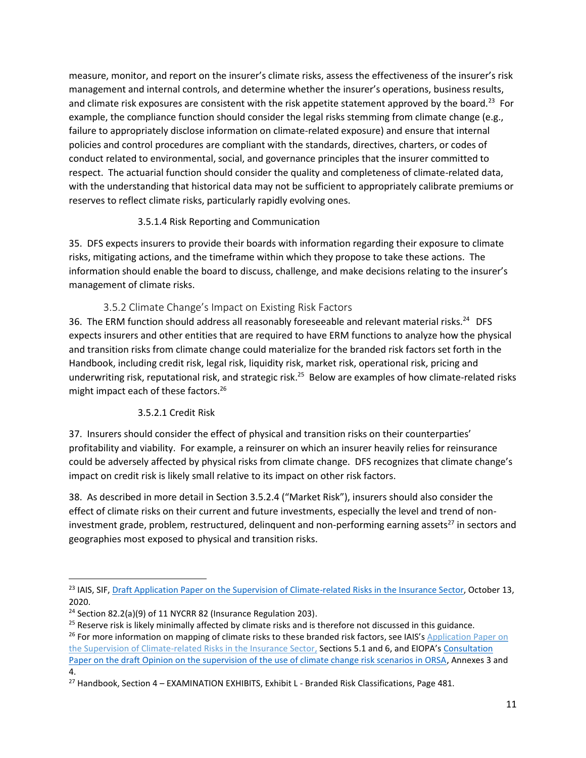measure, monitor, and report on the insurer's climate risks, assess the effectiveness of the insurer's risk management and internal controls, and determine whether the insurer's operations, business results, and climate risk exposures are consistent with the risk appetite statement approved by the board.<sup>23</sup> For example, the compliance function should consider the legal risks stemming from climate change (e.g., failure to appropriately disclose information on climate-related exposure) and ensure that internal policies and control procedures are compliant with the standards, directives, charters, or codes of conduct related to environmental, social, and governance principles that the insurer committed to respect. The actuarial function should consider the quality and completeness of climate-related data, with the understanding that historical data may not be sufficient to appropriately calibrate premiums or reserves to reflect climate risks, particularly rapidly evolving ones.

#### 3.5.1.4 Risk Reporting and Communication

35. DFS expects insurers to provide their boards with information regarding their exposure to climate risks, mitigating actions, and the timeframe within which they propose to take these actions. The information should enable the board to discuss, challenge, and make decisions relating to the insurer's management of climate risks.

#### 3.5.2 Climate Change's Impact on Existing Risk Factors

<span id="page-10-0"></span>36. The ERM function should address all reasonably foreseeable and relevant material risks.<sup>24</sup> DFS expects insurers and other entities that are required to have ERM functions to analyze how the physical and transition risks from climate change could materialize for the branded risk factors set forth in the Handbook, including credit risk, legal risk, liquidity risk, market risk, operational risk, pricing and underwriting risk, reputational risk, and strategic risk.<sup>25</sup> Below are examples of how climate-related risks might impact each of these factors.<sup>26</sup>

#### 3.5.2.1 Credit Risk

37. Insurers should consider the effect of physical and transition risks on their counterparties' profitability and viability. For example, a reinsurer on which an insurer heavily relies for reinsurance could be adversely affected by physical risks from climate change. DFS recognizes that climate change's impact on credit risk is likely small relative to its impact on other risk factors.

38. As described in more detail in Section 3.5.2.4 ("Market Risk"), insurers should also consider the effect of climate risks on their current and future investments, especially the level and trend of noninvestment grade, problem, restructured, delinquent and non-performing earning assets<sup>27</sup> in sectors and geographies most exposed to physical and transition risks.

<sup>&</sup>lt;sup>23</sup> IAIS, SIF[, Draft Application Paper on the Supervision of Climate-related Risks in the Insurance Sector,](https://www.iaisweb.org/page/consultations/current-consultations/application-paper-on-the-supervision-of-climate-related-risks-in-the-insurance-sector/file/92570/application-paper-on-the-supervision-of-climate-related-risks-in-the-insurance-sector) October 13, 2020.

<sup>&</sup>lt;sup>24</sup> Section 82.2(a)(9) of 11 NYCRR 82 (Insurance Regulation 203).

<sup>&</sup>lt;sup>25</sup> Reserve risk is likely minimally affected by climate risks and is therefore not discussed in this guidance.

<sup>&</sup>lt;sup>26</sup> For more information on mapping of climate risks to these branded risk factors, see IAIS's Application Paper on [the Supervision of Climate-related Risks in the Insurance Sector,](https://www.iaisweb.org/page/consultations/current-consultations/application-paper-on-the-supervision-of-climate-related-risks-in-the-insurance-sector/file/92570/application-paper-on-the-supervision-of-climate-related-risks-in-the-insurance-sector) Sections 5.1 and 6, and EIOPA's Consultation [Paper on the draft Opinion on the supervision of the use of climate change risk scenarios in ORSA,](https://www.eiopa.europa.eu/content/consultation-draft-opinion-supervision-of-use-of-climate-change-risk-scenarios-orsa_en) Annexes 3 and 4.

 $27$  Handbook, Section 4 – EXAMINATION EXHIBITS, Exhibit L - Branded Risk Classifications, Page 481.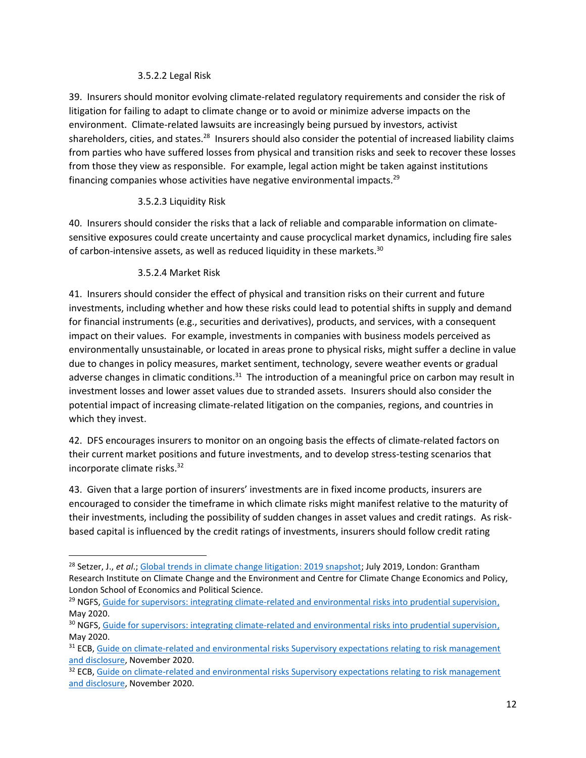#### 3.5.2.2 Legal Risk

39. Insurers should monitor evolving climate-related regulatory requirements and consider the risk of litigation for failing to adapt to climate change or to avoid or minimize adverse impacts on the environment. Climate-related lawsuits are increasingly being pursued by investors, activist shareholders, cities, and states.<sup>28</sup> Insurers should also consider the potential of increased liability claims from parties who have suffered losses from physical and transition risks and seek to recover these losses from those they view as responsible. For example, legal action might be taken against institutions financing companies whose activities have negative environmental impacts.<sup>29</sup>

#### 3.5.2.3 Liquidity Risk

40. Insurers should consider the risks that a lack of reliable and comparable information on climatesensitive exposures could create uncertainty and cause procyclical market dynamics, including fire sales of carbon-intensive assets, as well as reduced liquidity in these markets.<sup>30</sup>

#### 3.5.2.4 Market Risk

41. Insurers should consider the effect of physical and transition risks on their current and future investments, including whether and how these risks could lead to potential shifts in supply and demand for financial instruments (e.g., securities and derivatives), products, and services, with a consequent impact on their values. For example, investments in companies with business models perceived as environmentally unsustainable, or located in areas prone to physical risks, might suffer a decline in value due to changes in policy measures, market sentiment, technology, severe weather events or gradual adverse changes in climatic conditions.<sup>31</sup> The introduction of a meaningful price on carbon may result in investment losses and lower asset values due to stranded assets. Insurers should also consider the potential impact of increasing climate-related litigation on the companies, regions, and countries in which they invest.

42. DFS encourages insurers to monitor on an ongoing basis the effects of climate-related factors on their current market positions and future investments, and to develop stress-testing scenarios that incorporate climate risks.<sup>32</sup>

43. Given that a large portion of insurers' investments are in fixed income products, insurers are encouraged to consider the timeframe in which climate risks might manifest relative to the maturity of their investments, including the possibility of sudden changes in asset values and credit ratings. As riskbased capital is influenced by the credit ratings of investments, insurers should follow credit rating

<sup>28</sup> Setzer, J., *et al*.[; Global trends in climate change litigation: 2019 snapshot;](https://www.lse.ac.uk/GranthamInstitute/wp-content/uploads/2019/07/GRI_Global-trends-in-climate-change-litigation-2019-snapshot-2.pdf) July 2019, London: Grantham Research Institute on Climate Change and the Environment and Centre for Climate Change Economics and Policy, London School of Economics and Political Science.

<sup>&</sup>lt;sup>29</sup> NGFS, [Guide for supervisors: integrating climate-related and environmental risks into prudential supervision,](https://www.ngfs.net/sites/default/files/medias/documents/ngfs_guide_for_supervisors.pdf) May 2020.

<sup>&</sup>lt;sup>30</sup> NGFS, [Guide for supervisors: integrating climate-related and environmental risks into prudential supervision,](https://www.ngfs.net/sites/default/files/medias/documents/ngfs_guide_for_supervisors.pdf) May 2020.

<sup>&</sup>lt;sup>31</sup> ECB, Guide on climate-related and environmental risks Supervisory expectations relating to risk management [and disclosure,](https://www.bankingsupervision.europa.eu/ecb/pub/pdf/ssm.202011finalguideonclimate-relatedandenvironmentalrisks~58213f6564.en.pdf) November 2020.

<sup>&</sup>lt;sup>32</sup> ECB, Guide on climate-related and environmental risks Supervisory expectations relating to risk management [and disclosure,](https://www.bankingsupervision.europa.eu/ecb/pub/pdf/ssm.202011finalguideonclimate-relatedandenvironmentalrisks~58213f6564.en.pdf) November 2020.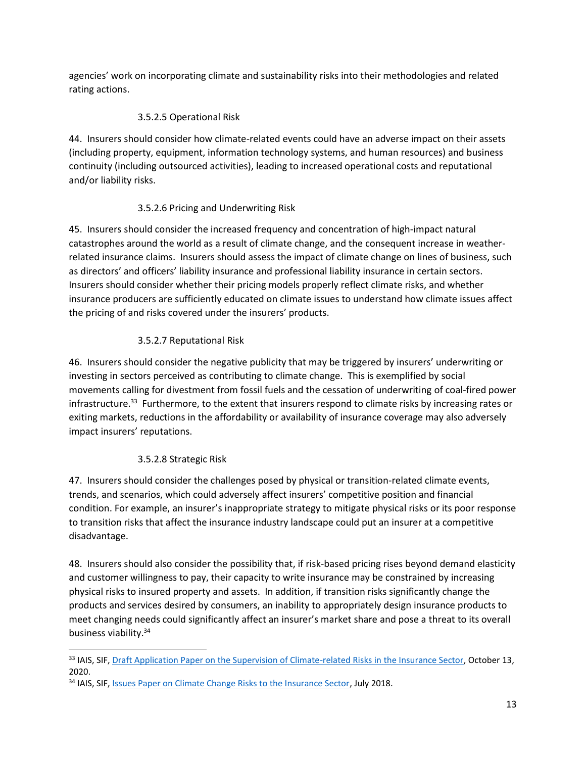agencies' work on incorporating climate and sustainability risks into their methodologies and related rating actions.

## 3.5.2.5 Operational Risk

44. Insurers should consider how climate-related events could have an adverse impact on their assets (including property, equipment, information technology systems, and human resources) and business continuity (including outsourced activities), leading to increased operational costs and reputational and/or liability risks.

## 3.5.2.6 Pricing and Underwriting Risk

45. Insurers should consider the increased frequency and concentration of high-impact natural catastrophes around the world as a result of climate change, and the consequent increase in weatherrelated insurance claims. Insurers should assess the impact of climate change on lines of business, such as directors' and officers' liability insurance and professional liability insurance in certain sectors. Insurers should consider whether their pricing models properly reflect climate risks, and whether insurance producers are sufficiently educated on climate issues to understand how climate issues affect the pricing of and risks covered under the insurers' products.

## 3.5.2.7 Reputational Risk

46. Insurers should consider the negative publicity that may be triggered by insurers' underwriting or investing in sectors perceived as contributing to climate change. This is exemplified by social movements calling for divestment from fossil fuels and the cessation of underwriting of coal-fired power infrastructure.<sup>33</sup> Furthermore, to the extent that insurers respond to climate risks by increasing rates or exiting markets, reductions in the affordability or availability of insurance coverage may also adversely impact insurers' reputations.

# 3.5.2.8 Strategic Risk

47. Insurers should consider the challenges posed by physical or transition-related climate events, trends, and scenarios, which could adversely affect insurers' competitive position and financial condition. For example, an insurer's inappropriate strategy to mitigate physical risks or its poor response to transition risks that affect the insurance industry landscape could put an insurer at a competitive disadvantage.

48. Insurers should also consider the possibility that, if risk-based pricing rises beyond demand elasticity and customer willingness to pay, their capacity to write insurance may be constrained by increasing physical risks to insured property and assets. In addition, if transition risks significantly change the products and services desired by consumers, an inability to appropriately design insurance products to meet changing needs could significantly affect an insurer's market share and pose a threat to its overall business viability.<sup>34</sup>

<sup>33</sup> IAIS, SIF[, Draft Application Paper on the Supervision of Climate-related Risks in the Insurance Sector,](https://www.iaisweb.org/page/consultations/current-consultations/application-paper-on-the-supervision-of-climate-related-risks-in-the-insurance-sector/file/92570/application-paper-on-the-supervision-of-climate-related-risks-in-the-insurance-sector) October 13, 2020.

<sup>&</sup>lt;sup>34</sup> IAIS, SIF[, Issues Paper on Climate Change Risks to the Insurance Sector,](https://b9ea8c1e-dc19-4d5f-b149-9b1ea4b8d050.filesusr.com/ugd/eb1f0b_0e5afc146e44459b907f0431b9e3bf21.pdf) July 2018.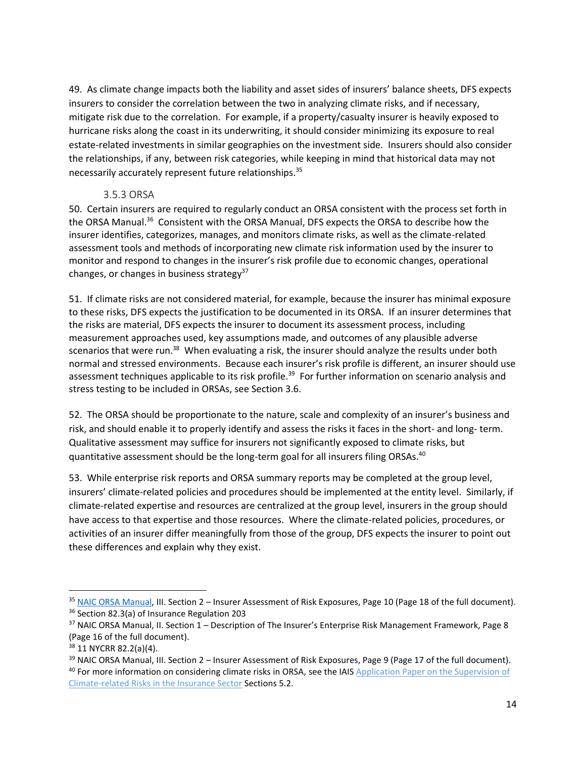49. As climate change impacts both the liability and asset sides of insurers' balance sheets, DFS expects insurers to consider the correlation between the two in analyzing climate risks, and if necessary, mitigate risk due to the correlation. For example, if a property/casualty insurer is heavily exposed to hurricane risks along the coast in its underwriting, it should consider minimizing its exposure to real estate-related investments in similar geographies on the investment side. Insurers should also consider the relationships, if any, between risk categories, while keeping in mind that historical data may not necessarily accurately represent future relationships.<sup>35</sup>

#### 3.5.3 ORSA

<span id="page-13-0"></span>50. Certain insurers are required to regularly conduct an ORSA consistent with the process set forth in the ORSA Manual.<sup>36</sup> Consistent with the ORSA Manual, DFS expects the ORSA to describe how the insurer identifies, categorizes, manages, and monitors climate risks, as well as the climate-related assessment tools and methods of incorporating new climate risk information used by the insurer to monitor and respond to changes in the insurer's risk profile due to economic changes, operational changes, or changes in business strategy<sup>37</sup>

51. If climate risks are not considered material, for example, because the insurer has minimal exposure to these risks, DFS expects the justification to be documented in its ORSA. If an insurer determines that the risks are material, DFS expects the insurer to document its assessment process, including measurement approaches used, key assumptions made, and outcomes of any plausible adverse scenarios that were run.<sup>38</sup> When evaluating a risk, the insurer should analyze the results under both normal and stressed environments. Because each insurer's risk profile is different, an insurer should use assessment techniques applicable to its risk profile.<sup>39</sup> For further information on scenario analysis and stress testing to be included in ORSAs, see Section 3.6.

52. The ORSA should be proportionate to the nature, scale and complexity of an insurer's business and risk, and should enable it to properly identify and assess the risks it faces in the short- and long- term. Qualitative assessment may suffice for insurers not significantly exposed to climate risks, but quantitative assessment should be the long-term goal for all insurers filing ORSAs.<sup>40</sup>

53. While enterprise risk reports and ORSA summary reports may be completed at the group level, insurers' climate-related policies and procedures should be implemented at the entity level. Similarly, if climate-related expertise and resources are centralized at the group level, insurers in the group should have access to that expertise and those resources. Where the climate-related policies, procedures, or activities of an insurer differ meaningfully from those of the group, DFS expects the insurer to point out these differences and explain why they exist.

<sup>35</sup> [NAIC ORSA Manual,](https://www.naic.org/documents/prod_serv_fin_recievership_ORSA-2014.pdf) III. Section 2 – Insurer Assessment of Risk Exposures, Page 10 (Page 18 of the full document). <sup>36</sup> Section 82.3(a) of Insurance Regulation 203

<sup>&</sup>lt;sup>37</sup> NAIC ORSA Manual, II. Section 1 – Description of The Insurer's Enterprise Risk Management Framework, Page 8 (Page 16 of the full document).

<sup>38</sup> 11 NYCRR 82.2(a)(4).

<sup>39</sup> NAIC ORSA Manual, III. Section 2 – Insurer Assessment of Risk Exposures, Page 9 (Page 17 of the full document). <sup>40</sup> For more information on considering climate risks in ORSA, see the IAIS Application Paper on the Supervision of [Climate-related Risks in the Insurance Sector](https://www.iaisweb.org/page/consultations/current-consultations/application-paper-on-the-supervision-of-climate-related-risks-in-the-insurance-sector/file/92570/application-paper-on-the-supervision-of-climate-related-risks-in-the-insurance-sector) Sections 5.2.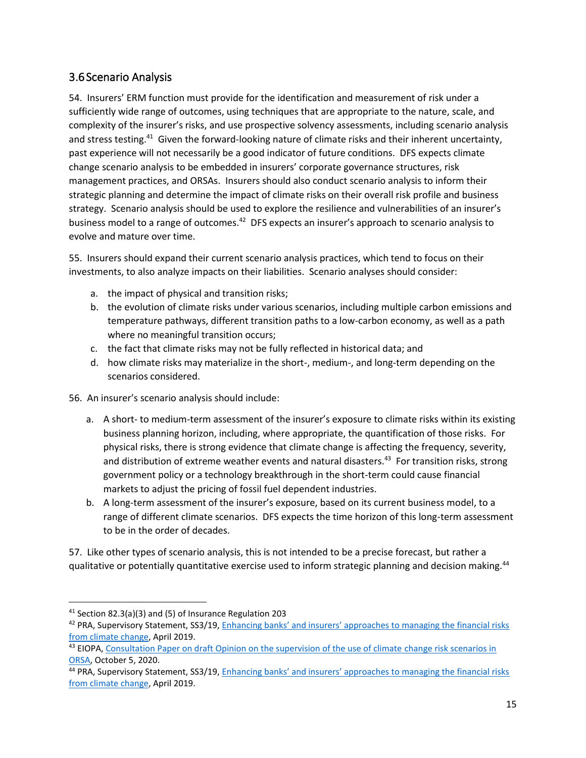# <span id="page-14-0"></span>3.6Scenario Analysis

54. Insurers' ERM function must provide for the identification and measurement of risk under a sufficiently wide range of outcomes, using techniques that are appropriate to the nature, scale, and complexity of the insurer's risks, and use prospective solvency assessments, including scenario analysis and stress testing.<sup>41</sup> Given the forward-looking nature of climate risks and their inherent uncertainty, past experience will not necessarily be a good indicator of future conditions. DFS expects climate change scenario analysis to be embedded in insurers' corporate governance structures, risk management practices, and ORSAs. Insurers should also conduct scenario analysis to inform their strategic planning and determine the impact of climate risks on their overall risk profile and business strategy. Scenario analysis should be used to explore the resilience and vulnerabilities of an insurer's business model to a range of outcomes.<sup>42</sup> DFS expects an insurer's approach to scenario analysis to evolve and mature over time.

55. Insurers should expand their current scenario analysis practices, which tend to focus on their investments, to also analyze impacts on their liabilities. Scenario analyses should consider:

- a. the impact of physical and transition risks;
- b. the evolution of climate risks under various scenarios, including multiple carbon emissions and temperature pathways, different transition paths to a low-carbon economy, as well as a path where no meaningful transition occurs;
- c. the fact that climate risks may not be fully reflected in historical data; and
- d. how climate risks may materialize in the short-, medium-, and long-term depending on the scenarios considered.
- 56. An insurer's scenario analysis should include:
	- a. A short- to medium-term assessment of the insurer's exposure to climate risks within its existing business planning horizon, including, where appropriate, the quantification of those risks. For physical risks, there is strong evidence that climate change is affecting the frequency, severity, and distribution of extreme weather events and natural disasters.<sup>43</sup> For transition risks, strong government policy or a technology breakthrough in the short-term could cause financial markets to adjust the pricing of fossil fuel dependent industries.
	- b. A long-term assessment of the insurer's exposure, based on its current business model, to a range of different climate scenarios. DFS expects the time horizon of this long-term assessment to be in the order of decades.

57. Like other types of scenario analysis, this is not intended to be a precise forecast, but rather a qualitative or potentially quantitative exercise used to inform strategic planning and decision making.<sup>44</sup>

<sup>41</sup> Section 82.3(a)(3) and (5) of Insurance Regulation 203

<sup>&</sup>lt;sup>42</sup> PRA, Supervisory Statement, SS3/19, Enhancing banks' and insurers' approaches to managing the financial risks [from climate change,](https://www.bankofengland.co.uk/prudential-regulation/publication/2019/enhancing-banks-and-insurers-approaches-to-managing-the-financial-risks-from-climate-change-ss) April 2019.

<sup>&</sup>lt;sup>43</sup> EIOPA, Consultation Paper on draft Opinion on the supervision of the use of climate change risk scenarios in [ORSA,](https://www.eiopa.europa.eu/content/consultation-draft-opinion-supervision-of-use-of-climate-change-risk-scenarios-orsa_en) October 5, 2020.

<sup>44</sup> PRA, Supervisory Statement, SS3/19, Enhancing banks' and insurers' approaches to managing the financial risks [from climate change,](https://www.bankofengland.co.uk/prudential-regulation/publication/2019/enhancing-banks-and-insurers-approaches-to-managing-the-financial-risks-from-climate-change-ss) April 2019.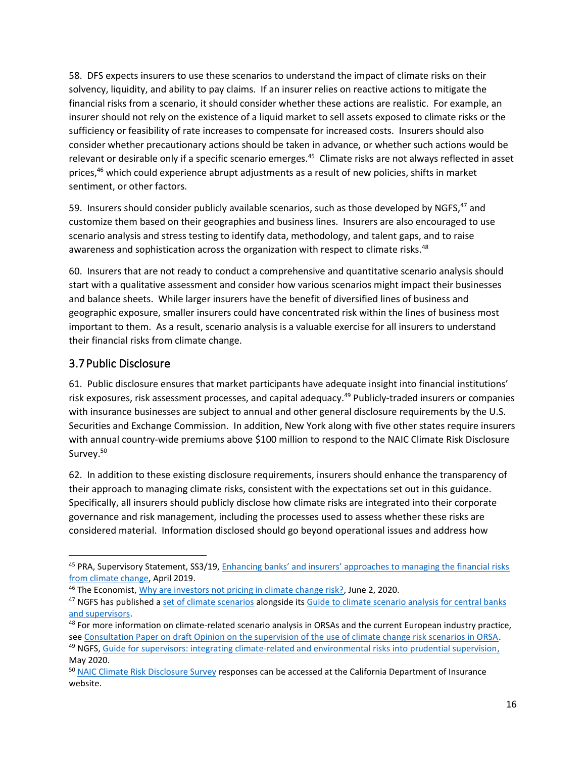58. DFS expects insurers to use these scenarios to understand the impact of climate risks on their solvency, liquidity, and ability to pay claims. If an insurer relies on reactive actions to mitigate the financial risks from a scenario, it should consider whether these actions are realistic. For example, an insurer should not rely on the existence of a liquid market to sell assets exposed to climate risks or the sufficiency or feasibility of rate increases to compensate for increased costs. Insurers should also consider whether precautionary actions should be taken in advance, or whether such actions would be relevant or desirable only if a specific scenario emerges.<sup>45</sup> Climate risks are not always reflected in asset prices,<sup>46</sup> which could experience abrupt adjustments as a result of new policies, shifts in market sentiment, or other factors.

59. Insurers should consider publicly available scenarios, such as those developed by NGFS,<sup>47</sup> and customize them based on their geographies and business lines. Insurers are also encouraged to use scenario analysis and stress testing to identify data, methodology, and talent gaps, and to raise awareness and sophistication across the organization with respect to climate risks.<sup>48</sup>

60. Insurers that are not ready to conduct a comprehensive and quantitative scenario analysis should start with a qualitative assessment and consider how various scenarios might impact their businesses and balance sheets. While larger insurers have the benefit of diversified lines of business and geographic exposure, smaller insurers could have concentrated risk within the lines of business most important to them. As a result, scenario analysis is a valuable exercise for all insurers to understand their financial risks from climate change.

# <span id="page-15-0"></span>3.7Public Disclosure

61. Public disclosure ensures that market participants have adequate insight into financial institutions' risk exposures, risk assessment processes, and capital adequacy.<sup>49</sup> Publicly-traded insurers or companies with insurance businesses are subject to annual and other general disclosure requirements by the U.S. Securities and Exchange Commission. In addition, New York along with five other states require insurers with annual country-wide premiums above \$100 million to respond to the NAIC Climate Risk Disclosure Survey. 50

62. In addition to these existing disclosure requirements, insurers should enhance the transparency of their approach to managing climate risks, consistent with the expectations set out in this guidance. Specifically, all insurers should publicly disclose how climate risks are integrated into their corporate governance and risk management, including the processes used to assess whether these risks are considered material. Information disclosed should go beyond operational issues and address how

<sup>45</sup> PRA, Supervisory Statement, SS3/19, Enhancing banks' and insurers' approaches to managing the financial risks [from climate change,](https://www.bankofengland.co.uk/prudential-regulation/publication/2019/enhancing-banks-and-insurers-approaches-to-managing-the-financial-risks-from-climate-change-ss) April 2019.

<sup>&</sup>lt;sup>46</sup> The Economist, [Why are investors not pricing in climate change risk?,](https://www.economist.com/graphic-detail/2020/06/02/why-are-investors-not-pricing-in-climate-change-risk) June 2, 2020.

<sup>&</sup>lt;sup>47</sup> NGFS has published [a set of climate scenarios](https://www.ngfs.net/sites/default/files/medias/documents/ngfs_climate_scenarios_final.pdf) alongside its Guide to climate scenario analysis for central banks [and supervisors.](https://www.ngfs.net/sites/default/files/medias/documents/ngfs_guide_scenario_analysis_final.pdf)

<sup>&</sup>lt;sup>48</sup> For more information on climate-related scenario analysis in ORSAs and the current European industry practice, see [Consultation Paper on draft Opinion on the supervision of the use of climate change risk scenarios in ORSA.](https://www.eiopa.europa.eu/content/consultation-draft-opinion-supervision-of-use-of-climate-change-risk-scenarios-orsa_en) <sup>49</sup> NGFS, [Guide for supervisors: integrating climate-related and environmental risks into prudential supervision,](https://www.ngfs.net/sites/default/files/medias/documents/ngfs_guide_for_supervisors.pdf)

May 2020. <sup>50</sup> [NAIC Climate Risk Disclosure Survey](http://www.insurance.ca.gov/0250-insurers/0300-insurers/0100-applications/ClimateSurvey/) responses can be accessed at the California Department of Insurance website.